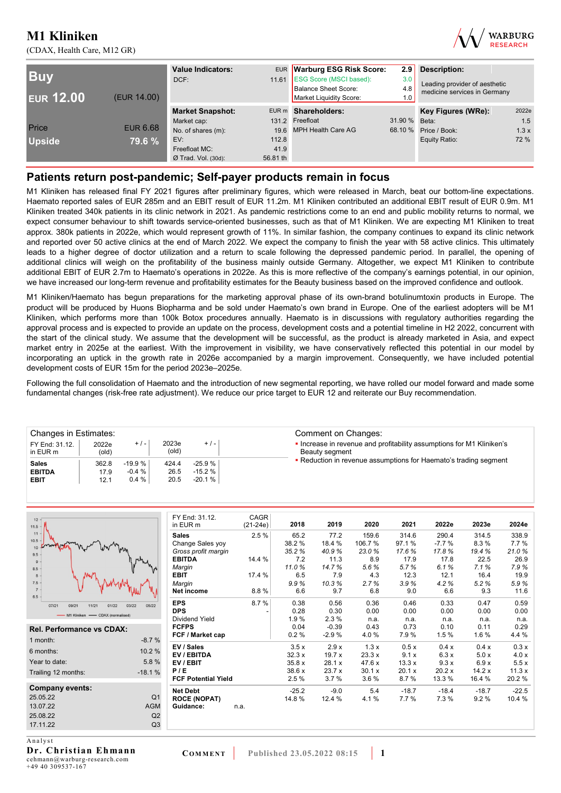(CDAX, Health Care, M12 GR)



| <b>Buy</b><br><b>EUR 12.00</b><br>(EUR 14.00) |                 | <b>Value Indicators:</b><br>DCF: |          | EUR Warburg ESG Risk Score:<br>11.61 ESG Score (MSCI based):<br>Balance Sheet Score:<br>Market Liquidity Score: | 2.9<br>3.0<br>4.8<br>1.0 | <b>Description:</b><br>Leading provider of aesthetic<br>medicine services in Germany |       |  |
|-----------------------------------------------|-----------------|----------------------------------|----------|-----------------------------------------------------------------------------------------------------------------|--------------------------|--------------------------------------------------------------------------------------|-------|--|
|                                               |                 | <b>Market Snapshot:</b>          |          | EUR m Shareholders:                                                                                             |                          | Key Figures (WRe):                                                                   | 2022e |  |
|                                               |                 | Market cap:                      |          | 131.2 Freefloat                                                                                                 | 31.90 % Beta:            |                                                                                      | 1.5   |  |
| Price                                         | <b>EUR 6.68</b> | No. of shares (m):               |          | 19.6 MPH Health Care AG                                                                                         | 68.10 %                  | Price / Book:                                                                        | 1.3x  |  |
| <b>Upside</b>                                 | 79.6 %          | EV:                              | 112.8    |                                                                                                                 |                          | Equity Ratio:                                                                        | 72 %  |  |
|                                               |                 | Freefloat MC:                    | 41.9     |                                                                                                                 |                          |                                                                                      |       |  |
|                                               |                 | $Ø$ Trad. Vol. (30d):            | 56.81 th |                                                                                                                 |                          |                                                                                      |       |  |

### **Patients return post-pandemic; Self-payer products remain in focus**

M1 Kliniken has released final FY 2021 figures after preliminary figures, which were released in March, beat our bottom-line expectations. Haemato reported sales of EUR 285m and an EBIT result of EUR 11.2m. M1 Kliniken contributed an additional EBIT result of EUR 0.9m. M1 Kliniken treated 340k patients in its clinic network in 2021. As pandemic restrictions come to an end and public mobility returns to normal, we expect consumer behaviour to shift towards service-oriented businesses, such as that of M1 Kliniken. We are expecting M1 Kliniken to treat approx. 380k patients in 2022e, which would represent growth of 11%. In similar fashion, the company continues to expand its clinic network and reported over 50 active clinics at the end of March 2022. We expect the company to finish the year with 58 active clinics. This ultimately leads to a higher degree of doctor utilization and a return to scale following the depressed pandemic period. In parallel, the opening of additional clinics will weigh on the profitability of the business mainly outside Germany. Altogether, we expect M1 Kliniken to contribute additional EBIT of EUR 2.7m to Haemato's operations in 2022e. As this is more reflective of the company's earnings potential, in our opinion, we have increased our long-term revenue and profitability estimates for the Beauty business based on the improved confidence and outlook.

M1 Kliniken/Haemato has begun preparations for the marketing approval phase of its own-brand botulinumtoxin products in Europe. The product will be produced by Huons Biopharma and be sold under Haemato's own brand in Europe. One of the earliest adopters will be M1 Kliniken, which performs more than 100k Botox procedures annually. Haemato is in discussions with regulatory authorities regarding the approval process and is expected to provide an update on the process, development costs and a potential timeline in H2 2022, concurrent with the start of the clinical study. We assume that the development will be successful, as the product is already marketed in Asia, and expect market entry in 2025e at the earliest. With the improvement in visibility, we have conservatively reflected this potential in our model by incorporating an uptick in the growth rate in 2026e accompanied by a margin improvement. Consequently, we have included potential development costs of EUR 15m for the period 2023e–2025e.

Following the full consolidation of Haemato and the introduction of new segmental reporting, we have rolled our model forward and made some fundamental changes (risk-free rate adjustment). We reduce our price target to EUR 12 and reiterate our Buy recommendation.

| <sup>∈</sup> Changes in Estimates: |                |          |                |          | Comment on Changes:                                                                     |
|------------------------------------|----------------|----------|----------------|----------|-----------------------------------------------------------------------------------------|
| FY End: 31.12.<br>in EUR m         | 2022e<br>(old) | $+/-$    | 2023e<br>(old) | $+$ / -  | . Increase in revenue and profitability assumptions for M1 Kliniken's<br>Beauty segment |
| <b>Sales</b>                       | 362.8          | $-19.9%$ | 424.4          | $-25.9%$ | • Reduction in revenue assumptions for Haemato's trading segment                        |
| <b>EBITDA</b>                      | 17.9           | $-0.4%$  | 26.5           | $-15.2%$ |                                                                                         |
| <b>EBIT</b>                        | 12.1           | 0.4%     | 20.5           | $-20.1%$ |                                                                                         |
|                                    |                |          |                |          |                                                                                         |

| $12 -$<br>$11.5 -$                |                | FY End: 31.12.<br>in EUR m | CAGR<br>$(21-24e)$ | 2018    | 2019    | 2020   | 2021    | 2022e   | 2023e   | 2024e   |
|-----------------------------------|----------------|----------------------------|--------------------|---------|---------|--------|---------|---------|---------|---------|
| $11 -$                            |                | <b>Sales</b>               | 2.5%               | 65.2    | 77.2    | 159.6  | 314.6   | 290.4   | 314.5   | 338.9   |
| $10.5 -$                          |                | Change Sales yoy           |                    | 38.2%   | 18.4 %  | 106.7% | 97.1%   | $-7.7%$ | 8.3%    | 7.7%    |
| 10 <sup>1</sup><br>9.5            |                | Gross profit margin        |                    | 35.2%   | 40.9%   | 23.0%  | 17.6%   | 17.8%   | 19.4%   | 21.0%   |
|                                   |                | <b>EBITDA</b>              | 14.4 %             | 7.2     | 11.3    | 8.9    | 17.9    | 17.8    | 22.5    | 26.9    |
| 8.5                               |                | Margin                     |                    | 11.0%   | 14.7%   | 5.6%   | 5.7%    | 6.1%    | 7.1%    | 7.9%    |
| 8                                 |                | <b>EBIT</b>                | 17.4 %             | 6.5     | 7.9     | 4.3    | 12.3    | 12.1    | 16.4    | 19.9    |
| $7.5 -$                           |                | Margin                     |                    | 9.9%    | 10.3%   | 2.7%   | 3.9%    | 4.2%    | 5.2%    | 5.9%    |
| $7 -$<br>6.5                      |                | Net income                 | 8.8%               | 6.6     | 9.7     | 6.8    | 9.0     | 6.6     | 9.3     | 11.6    |
| 09/21<br>07/21<br>11/21<br>01/22  | 03/22<br>05/22 | <b>EPS</b>                 | 8.7%               | 0.38    | 0.56    | 0.36   | 0.46    | 0.33    | 0.47    | 0.59    |
| - M1 Kliniken - CDAX (normalised) |                | <b>DPS</b>                 |                    | 0.28    | 0.30    | 0.00   | 0.00    | 0.00    | 0.00    | 0.00    |
|                                   |                | Dividend Yield             |                    | 1.9%    | 2.3%    | n.a.   | n.a.    | n.a.    | n.a.    | n.a.    |
| <b>Rel. Performance vs CDAX:</b>  |                | <b>FCFPS</b>               |                    | 0.04    | $-0.39$ | 0.43   | 0.73    | 0.10    | 0.11    | 0.29    |
| 1 month:                          | $-8.7%$        | FCF / Market cap           |                    | 0.2%    | $-2.9%$ | 4.0%   | 7.9%    | 1.5%    | 1.6 %   | 4.4 %   |
|                                   |                | EV / Sales                 |                    | 3.5x    | 2.9x    | 1.3x   | 0.5x    | 0.4 x   | 0.4 x   | 0.3x    |
| 6 months:                         | 10.2 %         | EV / EBITDA                |                    | 32.3x   | 19.7x   | 23.3x  | 9.1 x   | 6.3x    | 5.0x    | 4.0 x   |
| Year to date:                     | 5.8%           | EV/EBIT                    |                    | 35.8x   | 28.1 x  | 47.6x  | 13.3x   | 9.3x    | 6.9x    | 5.5x    |
| Trailing 12 months:               | $-18.1%$       | P/E                        |                    | 38.6 x  | 23.7 x  | 30.1 x | 20.1 x  | 20.2x   | 14.2x   | 11.3x   |
|                                   |                | <b>FCF Potential Yield</b> |                    | 2.5%    | 3.7%    | 3.6%   | 8.7%    | 13.3 %  | 16.4 %  | 20.2%   |
| Company events:                   |                | <b>Net Debt</b>            |                    | $-25.2$ | $-9.0$  | 5.4    | $-18.7$ | $-18.4$ | $-18.7$ | $-22.5$ |
| 25.05.22                          | Q <sub>1</sub> | <b>ROCE (NOPAT)</b>        |                    | 14.8%   | 12.4 %  | 4.1%   | 7.7 %   | 7.3%    | 9.2%    | 10.4 %  |
| 13.07.22                          | <b>AGM</b>     | Guidance:                  | n.a.               |         |         |        |         |         |         |         |
| 25.08.22                          | Q2             |                            |                    |         |         |        |         |         |         |         |
| 17.11.22                          | Q <sub>3</sub> |                            |                    |         |         |        |         |         |         |         |
| Analyst                           |                |                            |                    |         |         |        |         |         |         |         |

**Dr. Christian Ehmann**  cehmann@warburg-research.com +49 40 309537-167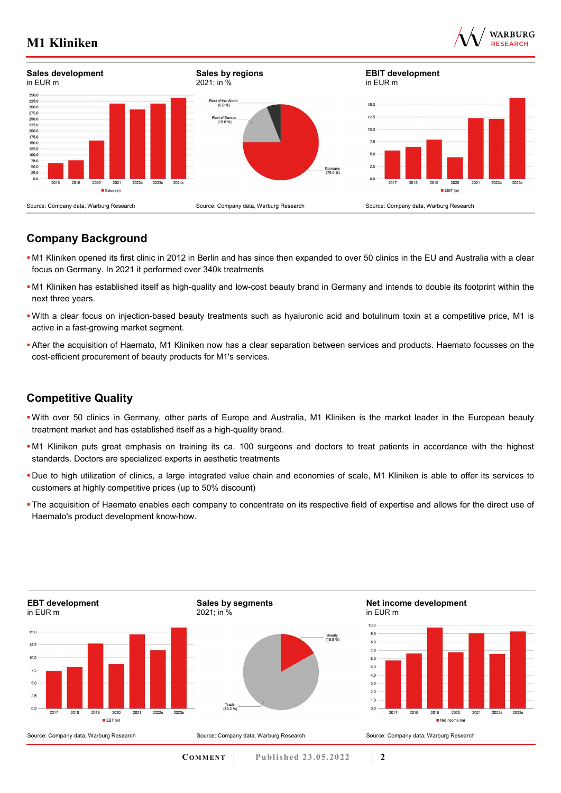



## **Company Background**

- M1 Kliniken opened its first clinic in 2012 in Berlin and has since then expanded to over 50 clinics in the EU and Australia with a clear focus on Germany. In 2021 it performed over 340k treatments
- M1 Kliniken has established itself as high-quality and low-cost beauty brand in Germany and intends to double its footprint within the next three years.
- With a clear focus on injection-based beauty treatments such as hyaluronic acid and botulinum toxin at a competitive price, M1 is active in a fast-growing market segment.
- After the acquisition of Haemato, M1 Kliniken now has a clear separation between services and products. Haemato focusses on the cost-efficient procurement of beauty products for M1's services.

### **Competitive Quality**

- With over 50 clinics in Germany, other parts of Europe and Australia, M1 Kliniken is the market leader in the European beauty treatment market and has established itself as a high-quality brand.
- M1 Kliniken puts great emphasis on training its ca. 100 surgeons and doctors to treat patients in accordance with the highest standards. Doctors are specialized experts in aesthetic treatments
- Due to high utilization of clinics, a large integrated value chain and economies of scale, M1 Kliniken is able to offer its services to customers at highly competitive prices (up to 50% discount)
- The acquisition of Haemato enables each company to concentrate on its respective field of expertise and allows for the direct use of Haemato's product development know-how.

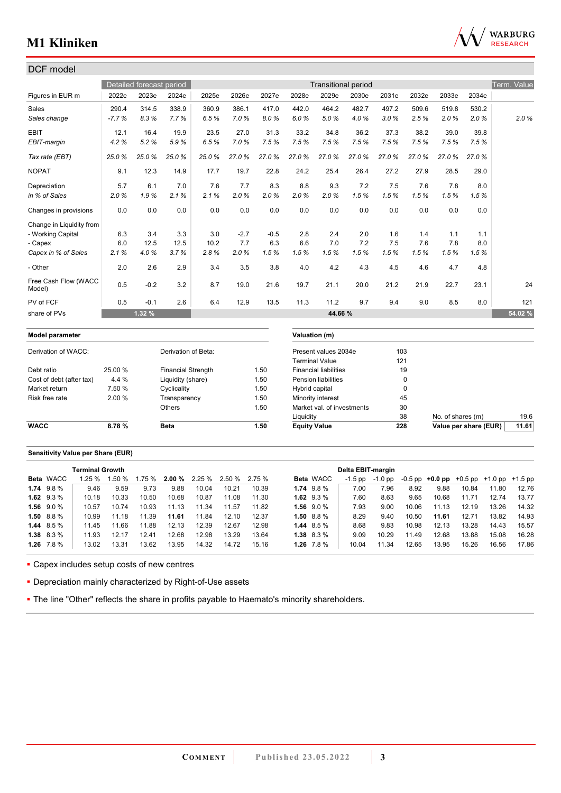

| DCF model                      |         |                                  |                           |       |        |        |                   |                              |       |       |             |       |       |             |
|--------------------------------|---------|----------------------------------|---------------------------|-------|--------|--------|-------------------|------------------------------|-------|-------|-------------|-------|-------|-------------|
|                                |         | Detailed forecast period         |                           |       |        |        |                   | <b>Transitional period</b>   |       |       |             |       |       | Term. Value |
| Figures in EUR m               | 2022e   | 2023e                            | 2024e                     | 2025e | 2026e  | 2027e  | 2028e             | 2029e                        | 2030e | 2031e | 2032e       | 2033e | 2034e |             |
| Sales                          | 290.4   | 314.5                            | 338.9                     | 360.9 | 386.1  | 417.0  | 442.0             | 464.2                        | 482.7 | 497.2 | 509.6       | 519.8 | 530.2 |             |
| Sales change                   | $-7.7%$ | 8.3%                             | 7.7%                      | 6.5%  | 7.0%   | 8.0%   | 6.0%              | 5.0%                         | 4.0%  | 3.0%  | 2.5%        | 2.0%  | 2.0%  | 2.0%        |
| <b>EBIT</b>                    | 12.1    | 16.4                             | 19.9                      | 23.5  | 27.0   | 31.3   | 33.2              | 34.8                         | 36.2  | 37.3  | 38.2        | 39.0  | 39.8  |             |
| EBIT-margin                    | 4.2%    | 5.2%                             | 5.9%                      | 6.5%  | 7.0%   | 7.5%   | 7.5%              | 7.5%                         | 7.5%  | 7.5%  | 7.5%        | 7.5%  | 7.5%  |             |
| Tax rate (EBT)                 | 25.0%   | 25.0%                            | 25.0%                     | 25.0% | 27.0%  | 27.0%  | 27.0%             | 27.0%                        | 27.0% | 27.0% | 27.0%       | 27.0% | 27.0% |             |
| <b>NOPAT</b>                   | 9.1     | 12.3                             | 14.9                      | 17.7  | 19.7   | 22.8   | 24.2              | 25.4                         | 26.4  | 27.2  | 27.9        | 28.5  | 29.0  |             |
| Depreciation                   | 5.7     | 6.1                              | 7.0                       | 7.6   | 7.7    | 8.3    | 8.8               | 9.3                          | 7.2   | 7.5   | 7.6         | 7.8   | 8.0   |             |
| in % of Sales                  | 2.0%    | 1.9%                             | 2.1%                      | 2.1%  | 2.0%   | 2.0%   | 2.0%              | 2.0%                         | 1.5%  | 1.5%  | 1.5%        | 1.5%  | 1.5%  |             |
| Changes in provisions          | 0.0     | 0.0                              | 0.0                       | 0.0   | 0.0    | 0.0    | 0.0               | 0.0                          | 0.0   | 0.0   | 0.0         | 0.0   | 0.0   |             |
| Change in Liquidity from       |         |                                  |                           |       |        |        |                   |                              |       |       |             |       |       |             |
| - Working Capital              | 6.3     | 3.4                              | 3.3                       | 3.0   | $-2.7$ | $-0.5$ | 2.8               | 2.4                          | 2.0   | 1.6   | 1.4         | 1.1   | 1.1   |             |
| - Capex                        | 6.0     | 12.5                             | 12.5                      | 10.2  | 7.7    | 6.3    | 6.6               | 7.0                          | 7.2   | 7.5   | 7.6         | 7.8   | 8.0   |             |
| Capex in % of Sales            | 2.1%    | 4.0%                             | 3.7%                      | 2.8%  | 2.0%   | 1.5%   | 1.5%              | 1.5%                         | 1.5%  | 1.5%  | 1.5%        | 1.5%  | 1.5%  |             |
| - Other                        | 2.0     | 2.6                              | 2.9                       | 3.4   | 3.5    | 3.8    | 4.0               | 4.2                          | 4.3   | 4.5   | 4.6         | 4.7   | 4.8   |             |
| Free Cash Flow (WACC<br>Model) | 0.5     | $-0.2$                           | 3.2                       | 8.7   | 19.0   | 21.6   | 19.7              | 21.1                         | 20.0  | 21.2  | 21.9        | 22.7  | 23.1  | 24          |
| PV of FCF                      | 0.5     | $-0.1$                           | 2.6                       | 6.4   | 12.9   | 13.5   | 11.3              | 11.2                         | 9.7   | 9.4   | 9.0         | 8.5   | 8.0   | 121         |
| share of PVs                   |         | 1.32%                            |                           |       |        |        |                   | 44.66 %                      |       |       |             |       |       | 54.02 %     |
| Model parameter                |         |                                  |                           |       |        |        |                   | Valuation (m)                |       |       |             |       |       |             |
| Derivation of WACC:            |         |                                  | Derivation of Beta:       |       |        |        |                   | Present values 2034e         |       | 103   |             |       |       |             |
|                                |         |                                  |                           |       |        |        |                   | <b>Terminal Value</b>        |       | 121   |             |       |       |             |
| Debt ratio                     | 25.00 % |                                  | <b>Financial Strength</b> |       | 1.50   |        |                   | <b>Financial liabilities</b> |       |       | 19          |       |       |             |
| Cost of debt (after tax)       | 4.4 %   |                                  | Liquidity (share)         |       |        | 1.50   |                   | Pension liabilities          |       |       | 0           |       |       |             |
| Market return                  | 7.50 %  |                                  | Cyclicality               |       |        | 1.50   | Hybrid capital    |                              |       |       | $\mathbf 0$ |       |       |             |
| Risk free rate                 | 2.00 %  |                                  | Transparency              |       |        | 1.50   | Minority interest |                              |       |       | 45          |       |       |             |
| Others<br>1.50                 |         | 30<br>Market val. of investments |                           |       |        |        |                   |                              |       |       |             |       |       |             |

#### **Sensitivity Value per Share (EUR)**

|                   | <b>Terminal Growth</b> |        |       |       |                                      |       |       |                |                  | Delta EBIT-margin |         |       |                                                   |       |       |       |
|-------------------|------------------------|--------|-------|-------|--------------------------------------|-------|-------|----------------|------------------|-------------------|---------|-------|---------------------------------------------------|-------|-------|-------|
| <b>Beta</b> WACC  | 1.25%                  | l.50 % |       |       | $1.75\%$ 2.00 % 2.25 % 2.50 % 2.75 % |       |       |                | <b>Beta WACC</b> | -1.5 pp           | -1.0 pp |       | $-0.5$ pp $+0.0$ pp $+0.5$ pp $+1.0$ pp $+1.5$ pp |       |       |       |
| $1.74$ $9.8\%$    | 9.46                   | 9.59   | 9.73  | 9.88  | 10.04                                | 10.21 | 10.39 | $1.74$ $9.8\%$ |                  | 7.00              | 7.96    | 8.92  | 9.88                                              | 10.84 | 11.80 | 12.76 |
| 1.62 $9.3\%$      | 10.18                  | 10.33  | 10.50 | 10.68 | 10.87                                | 11.08 | 11.30 |                | 1.62 $9.3\%$     | 7.60              | 8.63    | 9.65  | 10.68                                             | 11.71 | 12.74 | 13.77 |
| $1.56$ $9.0\%$    | 10.57                  | 10.74  | 10.93 | 11.13 | 11.34                                | 11.57 | 11.82 |                | 1.56 $9.0\%$     | 7.93              | 9.00    | 10.06 | 11.13                                             | 12.19 | 13.26 | 14.32 |
| $1.50\quad 8.8\%$ | 10.99                  | 11.18  | 11.39 | 11.61 | 11.84                                | 12.10 | 12.37 |                | 1.50 $8.8\%$     | 8.29              | 9.40    | 10.50 | 11.61                                             | 12.71 | 13.82 | 14.93 |
| 1.44 $8.5\%$      | 11.45                  | 11.66  | 11.88 | 12.13 | 12.39                                | 12.67 | 12.98 |                | 1.44 $8.5\%$     | 8.68              | 9.83    | 10.98 | 12.13                                             | 13.28 | 14.43 | 15.57 |
| $1.38$ 8.3 %      | 11.93                  | 12.17  | 12.41 | 12.68 | 12.98                                | 13.29 | 13.64 |                | $1.38$ 8.3 %     | 9.09              | 10.29   | 11.49 | 12.68                                             | 13.88 | 15.08 | 16.28 |
| $1.26$ 7.8 %      | 13.02                  | 13.31  | 13.62 | 13.95 | 14.32                                | 14.72 | 15.16 |                | 1.26 $7.8\%$     | 10.04             | 11.34   | 12.65 | 13.95                                             | 15.26 | 16.56 | 17.86 |

**WACC 8.78 % Beta 1.50 Equity Value 228 Value per share (EUR) 11.61**

Liquidity 38 No. of shares (m) 19.6

Capex includes setup costs of new centres

Depreciation mainly characterized by Right-of-Use assets

**- The line "Other" reflects the share in profits payable to Haemato's minority shareholders.**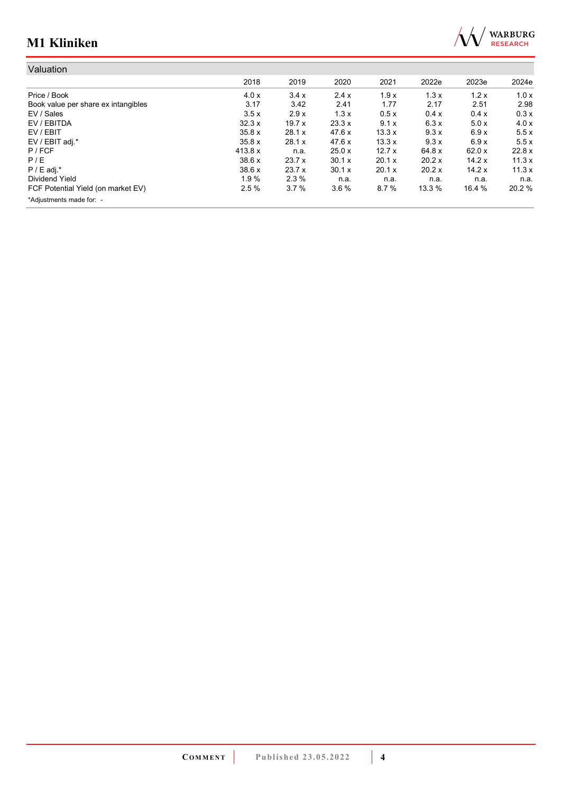

| Valuation                           |         |         |        |        |        |        |        |
|-------------------------------------|---------|---------|--------|--------|--------|--------|--------|
|                                     | 2018    | 2019    | 2020   | 2021   | 2022e  | 2023e  | 2024e  |
| Price / Book                        | 4.0x    | 3.4x    | 2.4x   | 1.9x   | 1.3x   | 1.2x   | 1.0x   |
| Book value per share ex intangibles | 3.17    | 3.42    | 2.41   | 1.77   | 2.17   | 2.51   | 2.98   |
| EV / Sales                          | 3.5x    | 2.9x    | 1.3x   | 0.5x   | 0.4 x  | 0.4x   | 0.3x   |
| EV / EBITDA                         | 32.3x   | 19.7x   | 23.3 x | 9.1x   | 6.3x   | 5.0x   | 4.0x   |
| EV / EBIT                           | 35.8 x  | 28.1 x  | 47.6 x | 13.3x  | 9.3x   | 6.9x   | 5.5x   |
| EV / EBIT adj.*                     | 35.8x   | 28.1 x  | 47.6 x | 13.3x  | 9.3x   | 6.9x   | 5.5x   |
| $P$ / FCF                           | 413.8 x | n.a.    | 25.0x  | 12.7x  | 64.8 x | 62.0x  | 22.8 x |
| P/E                                 | 38.6x   | 23.7x   | 30.1 x | 20.1 x | 20.2 x | 14.2x  | 11.3x  |
| $P / E$ adj.*                       | 38.6x   | 23.7x   | 30.1 x | 20.1 x | 20.2 x | 14.2x  | 11.3x  |
| Dividend Yield                      | 1.9%    | $2.3\%$ | n.a.   | n.a.   | n.a.   | n.a.   | n.a.   |
| FCF Potential Yield (on market EV)  | 2.5%    | 3.7%    | 3.6%   | 8.7%   | 13.3%  | 16.4 % | 20.2 % |
| *Adjustments made for: -            |         |         |        |        |        |        |        |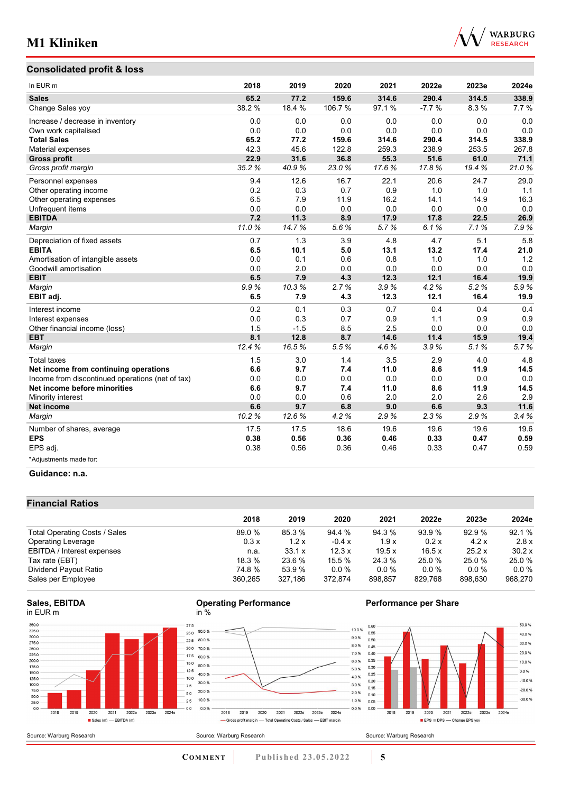



| In EUR <sub>m</sub>                              | 2018   | 2019   | 2020   | 2021  | 2022e   | 2023e | 2024e |
|--------------------------------------------------|--------|--------|--------|-------|---------|-------|-------|
| <b>Sales</b>                                     | 65.2   | 77.2   | 159.6  | 314.6 | 290.4   | 314.5 | 338.9 |
| Change Sales yoy                                 | 38.2 % | 18.4 % | 106.7% | 97.1% | $-7.7%$ | 8.3%  | 7.7%  |
| Increase / decrease in inventory                 | 0.0    | 0.0    | 0.0    | 0.0   | 0.0     | 0.0   | 0.0   |
| Own work capitalised                             | 0.0    | 0.0    | 0.0    | 0.0   | 0.0     | 0.0   | 0.0   |
| <b>Total Sales</b>                               | 65.2   | 77.2   | 159.6  | 314.6 | 290.4   | 314.5 | 338.9 |
| Material expenses                                | 42.3   | 45.6   | 122.8  | 259.3 | 238.9   | 253.5 | 267.8 |
| <b>Gross profit</b>                              | 22.9   | 31.6   | 36.8   | 55.3  | 51.6    | 61.0  | 71.1  |
| Gross profit margin                              | 35.2%  | 40.9%  | 23.0%  | 17.6% | 17.8%   | 19.4% | 21.0% |
| Personnel expenses                               | 9.4    | 12.6   | 16.7   | 22.1  | 20.6    | 24.7  | 29.0  |
| Other operating income                           | 0.2    | 0.3    | 0.7    | 0.9   | 1.0     | 1.0   | 1.1   |
| Other operating expenses                         | 6.5    | 7.9    | 11.9   | 16.2  | 14.1    | 14.9  | 16.3  |
| Unfrequent items                                 | 0.0    | 0.0    | 0.0    | 0.0   | 0.0     | 0.0   | 0.0   |
| <b>EBITDA</b>                                    | 7.2    | 11.3   | 8.9    | 17.9  | 17.8    | 22.5  | 26.9  |
| Margin                                           | 11.0%  | 14.7%  | 5.6%   | 5.7%  | 6.1%    | 7.1%  | 7.9%  |
| Depreciation of fixed assets                     | 0.7    | 1.3    | 3.9    | 4.8   | 4.7     | 5.1   | 5.8   |
| <b>EBITA</b>                                     | 6.5    | 10.1   | 5.0    | 13.1  | 13.2    | 17.4  | 21.0  |
| Amortisation of intangible assets                | 0.0    | 0.1    | 0.6    | 0.8   | 1.0     | 1.0   | 1.2   |
| Goodwill amortisation                            | 0.0    | 2.0    | 0.0    | 0.0   | 0.0     | 0.0   | 0.0   |
| <b>EBIT</b>                                      | 6.5    | 7.9    | 4.3    | 12.3  | 12.1    | 16.4  | 19.9  |
| Margin                                           | 9.9%   | 10.3%  | 2.7%   | 3.9%  | 4.2%    | 5.2%  | 5.9%  |
| EBIT adj.                                        | 6.5    | 7.9    | 4.3    | 12.3  | 12.1    | 16.4  | 19.9  |
| Interest income                                  | 0.2    | 0.1    | 0.3    | 0.7   | 0.4     | 0.4   | 0.4   |
| Interest expenses                                | 0.0    | 0.3    | 0.7    | 0.9   | 1.1     | 0.9   | 0.9   |
| Other financial income (loss)                    | 1.5    | $-1.5$ | 8.5    | 2.5   | 0.0     | 0.0   | 0.0   |
| <b>EBT</b>                                       | 8.1    | 12.8   | 8.7    | 14.6  | 11.4    | 15.9  | 19.4  |
| Margin                                           | 12.4%  | 16.5%  | 5.5%   | 4.6%  | 3.9%    | 5.1%  | 5.7%  |
| <b>Total taxes</b>                               | 1.5    | 3.0    | 1.4    | 3.5   | 2.9     | 4.0   | 4.8   |
| Net income from continuing operations            | 6.6    | 9.7    | 7.4    | 11.0  | 8.6     | 11.9  | 14.5  |
| Income from discontinued operations (net of tax) | 0.0    | 0.0    | 0.0    | 0.0   | 0.0     | 0.0   | 0.0   |
| Net income before minorities                     | 6.6    | 9.7    | 7.4    | 11.0  | 8.6     | 11.9  | 14.5  |
| Minority interest                                | 0.0    | 0.0    | 0.6    | 2.0   | 2.0     | 2.6   | 2.9   |
| <b>Net income</b>                                | 6.6    | 9.7    | 6.8    | 9.0   | 6.6     | 9.3   | 11.6  |
| Margin                                           | 10.2%  | 12.6%  | 4.2%   | 2.9%  | 2.3%    | 2.9%  | 3.4%  |
| Number of shares, average                        | 17.5   | 17.5   | 18.6   | 19.6  | 19.6    | 19.6  | 19.6  |
| <b>EPS</b>                                       | 0.38   | 0.56   | 0.36   | 0.46  | 0.33    | 0.47  | 0.59  |
| EPS adj.                                         | 0.38   | 0.56   | 0.36   | 0.46  | 0.33    | 0.47  | 0.59  |
| *Adjustments made for:                           |        |        |        |       |         |       |       |

#### **Guidance: n.a.**

#### **Financial Ratios**

|                               | 2018    | 2019          | 2020    | 2021    | 2022e   | 2023e   | 2024e    |
|-------------------------------|---------|---------------|---------|---------|---------|---------|----------|
| Total Operating Costs / Sales | 89.0%   | 85.3 %        | 94.4 %  | 94.3 %  | 93.9 %  | 92.9%   | 92.1 %   |
| <b>Operating Leverage</b>     | 0.3x    | 1.2x          | $-0.4x$ | 1.9x    | 0.2 x   | 4.2x    | 2.8x     |
| EBITDA / Interest expenses    | n.a.    | $33.1 \times$ | 12.3x   | 19.5x   | 16.5x   | 25.2x   | 30.2 x   |
| Tax rate (EBT)                | 18.3%   | 23.6 %        | 15.5 %  | 24.3 %  | 25.0 %  | 25.0 %  | 25.0 %   |
| Dividend Payout Ratio         | 74.8 %  | 53.9 %        | $0.0\%$ | $0.0\%$ | 0.0%    | $0.0\%$ | $0.0 \%$ |
| Sales per Employee            | 360.265 | 327.186       | 372.874 | 898.857 | 829.768 | 898.630 | 968,270  |

#### **Sales, EBITDA** in EUR m



#### **Operating Performance** in %



#### **Performance per Share**



Source: Warburg Research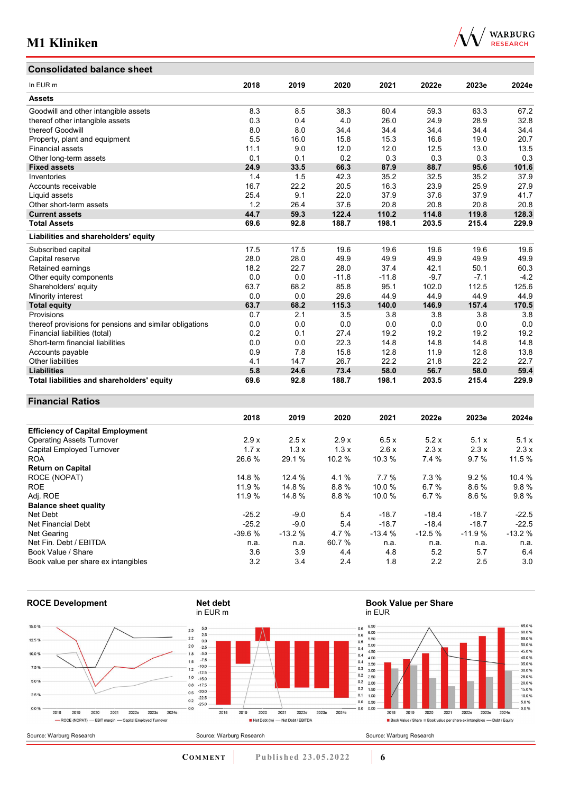## **Consolidated balance sheet**

| $\mathcal{N}$ | <b>WARBURG</b>  |
|---------------|-----------------|
|               | <b>RESEARCH</b> |

| CONSONUALEU DAIANCE SHEEL                               |      |      |         |         |        |        |        |
|---------------------------------------------------------|------|------|---------|---------|--------|--------|--------|
| In EUR m                                                | 2018 | 2019 | 2020    | 2021    | 2022e  | 2023e  | 2024e  |
| <b>Assets</b>                                           |      |      |         |         |        |        |        |
| Goodwill and other intangible assets                    | 8.3  | 8.5  | 38.3    | 60.4    | 59.3   | 63.3   | 67.2   |
| thereof other intangible assets                         | 0.3  | 0.4  | 4.0     | 26.0    | 24.9   | 28.9   | 32.8   |
| thereof Goodwill                                        | 8.0  | 8.0  | 34.4    | 34.4    | 34.4   | 34.4   | 34.4   |
| Property, plant and equipment                           | 5.5  | 16.0 | 15.8    | 15.3    | 16.6   | 19.0   | 20.7   |
| <b>Financial assets</b>                                 | 11.1 | 9.0  | 12.0    | 12.0    | 12.5   | 13.0   | 13.5   |
| Other long-term assets                                  | 0.1  | 0.1  | 0.2     | 0.3     | 0.3    | 0.3    | 0.3    |
| <b>Fixed assets</b>                                     | 24.9 | 33.5 | 66.3    | 87.9    | 88.7   | 95.6   | 101.6  |
| Inventories                                             | 1.4  | 1.5  | 42.3    | 35.2    | 32.5   | 35.2   | 37.9   |
| Accounts receivable                                     | 16.7 | 22.2 | 20.5    | 16.3    | 23.9   | 25.9   | 27.9   |
| Liquid assets                                           | 25.4 | 9.1  | 22.0    | 37.9    | 37.6   | 37.9   | 41.7   |
| Other short-term assets                                 | 1.2  | 26.4 | 37.6    | 20.8    | 20.8   | 20.8   | 20.8   |
| <b>Current assets</b>                                   | 44.7 | 59.3 | 122.4   | 110.2   | 114.8  | 119.8  | 128.3  |
| <b>Total Assets</b>                                     | 69.6 | 92.8 | 188.7   | 198.1   | 203.5  | 215.4  | 229.9  |
| Liabilities and shareholders' equity                    |      |      |         |         |        |        |        |
| Subscribed capital                                      | 17.5 | 17.5 | 19.6    | 19.6    | 19.6   | 19.6   | 19.6   |
| Capital reserve                                         | 28.0 | 28.0 | 49.9    | 49.9    | 49.9   | 49.9   | 49.9   |
| Retained earnings                                       | 18.2 | 22.7 | 28.0    | 37.4    | 42.1   | 50.1   | 60.3   |
| Other equity components                                 | 0.0  | 0.0  | $-11.8$ | $-11.8$ | $-9.7$ | $-7.1$ | $-4.2$ |
| Shareholders' equity                                    | 63.7 | 68.2 | 85.8    | 95.1    | 102.0  | 112.5  | 125.6  |
| Minority interest                                       | 0.0  | 0.0  | 29.6    | 44.9    | 44.9   | 44.9   | 44.9   |
| <b>Total equity</b>                                     | 63.7 | 68.2 | 115.3   | 140.0   | 146.9  | 157.4  | 170.5  |
| Provisions                                              | 0.7  | 2.1  | 3.5     | 3.8     | 3.8    | 3.8    | 3.8    |
| thereof provisions for pensions and similar obligations | 0.0  | 0.0  | 0.0     | 0.0     | 0.0    | 0.0    | 0.0    |
| Financial liabilities (total)                           | 0.2  | 0.1  | 27.4    | 19.2    | 19.2   | 19.2   | 19.2   |
| Short-term financial liabilities                        | 0.0  | 0.0  | 22.3    | 14.8    | 14.8   | 14.8   | 14.8   |
| Accounts payable                                        | 0.9  | 7.8  | 15.8    | 12.8    | 11.9   | 12.8   | 13.8   |
| <b>Other liabilities</b>                                | 4.1  | 14.7 | 26.7    | 22.2    | 21.8   | 22.2   | 22.7   |
| <b>Liabilities</b>                                      | 5.8  | 24.6 | 73.4    | 58.0    | 56.7   | 58.0   | 59.4   |
| Total liabilities and shareholders' equity              | 69.6 | 92.8 | 188.7   | 198.1   | 203.5  | 215.4  | 229.9  |

#### **Financial Ratios**

|                                         | 2018     | 2019     | 2020   | 2021     | 2022e    | 2023e    | 2024e    |
|-----------------------------------------|----------|----------|--------|----------|----------|----------|----------|
| <b>Efficiency of Capital Employment</b> |          |          |        |          |          |          |          |
| <b>Operating Assets Turnover</b>        | 2.9x     | 2.5x     | 2.9x   | 6.5x     | 5.2x     | 5.1x     | 5.1x     |
| Capital Employed Turnover               | 1.7x     | 1.3x     | 1.3x   | 2.6x     | 2.3x     | 2.3x     | 2.3x     |
| <b>ROA</b>                              | 26.6 %   | 29.1 %   | 10.2 % | 10.3%    | 7.4 %    | 9.7%     | 11.5%    |
| <b>Return on Capital</b>                |          |          |        |          |          |          |          |
| ROCE (NOPAT)                            | 14.8 %   | 12.4 %   | 4.1%   | 7.7%     | 7.3%     | 9.2%     | 10.4 %   |
| <b>ROE</b>                              | 11.9%    | 14.8 %   | 8.8%   | 10.0%    | 6.7%     | 8.6%     | 9.8%     |
| Adj. ROE                                | 11.9 %   | 14.8%    | 8.8%   | 10.0 %   | 6.7%     | 8.6%     | 9.8%     |
| <b>Balance sheet quality</b>            |          |          |        |          |          |          |          |
| Net Debt                                | $-25.2$  | $-9.0$   | 5.4    | $-18.7$  | $-18.4$  | $-18.7$  | $-22.5$  |
| Net Financial Debt                      | $-25.2$  | $-9.0$   | 5.4    | $-18.7$  | $-18.4$  | $-18.7$  | $-22.5$  |
| Net Gearing                             | $-39.6%$ | $-13.2%$ | 4.7%   | $-13.4%$ | $-12.5%$ | $-11.9%$ | $-13.2%$ |
| Net Fin. Debt / EBITDA                  | n.a.     | n.a.     | 60.7 % | n.a.     | n.a.     | n.a.     | n.a.     |
| Book Value / Share                      | 3.6      | 3.9      | 4.4    | 4.8      | 5.2      | 5.7      | 6.4      |
| Book value per share ex intangibles     | 3.2      | 3.4      | 2.4    | 1.8      | 2.2      | 2.5      | 3.0      |



**COMMENT** Published 23.05.2022 **6**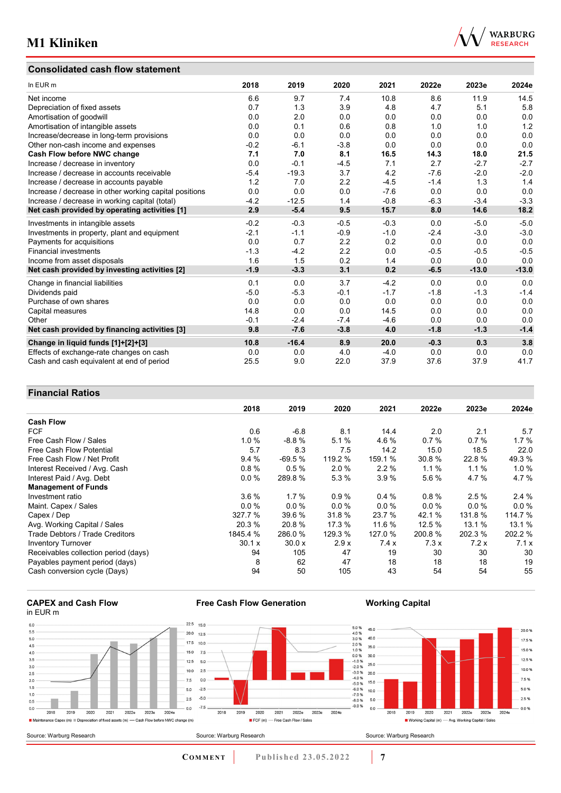### **Consolidated cash flow statement**



| In EUR m                                               | 2018   | 2019    | 2020   | 2021   | 2022e  | 2023e   | 2024e   |
|--------------------------------------------------------|--------|---------|--------|--------|--------|---------|---------|
| Net income                                             | 6.6    | 9.7     | 7.4    | 10.8   | 8.6    | 11.9    | 14.5    |
| Depreciation of fixed assets                           | 0.7    | 1.3     | 3.9    | 4.8    | 4.7    | 5.1     | 5.8     |
| Amortisation of goodwill                               | 0.0    | 2.0     | 0.0    | 0.0    | 0.0    | 0.0     | 0.0     |
| Amortisation of intangible assets                      | 0.0    | 0.1     | 0.6    | 0.8    | 1.0    | 1.0     | 1.2     |
| Increase/decrease in long-term provisions              | 0.0    | 0.0     | 0.0    | 0.0    | 0.0    | 0.0     | 0.0     |
| Other non-cash income and expenses                     | $-0.2$ | $-6.1$  | $-3.8$ | 0.0    | 0.0    | 0.0     | 0.0     |
| Cash Flow before NWC change                            | 7.1    | 7.0     | 8.1    | 16.5   | 14.3   | 18.0    | 21.5    |
| Increase / decrease in inventory                       | 0.0    | $-0.1$  | $-4.5$ | 7.1    | 2.7    | $-2.7$  | $-2.7$  |
| Increase / decrease in accounts receivable             | $-5.4$ | $-19.3$ | 3.7    | 4.2    | $-7.6$ | $-2.0$  | $-2.0$  |
| Increase / decrease in accounts payable                | 1.2    | 7.0     | 2.2    | $-4.5$ | $-1.4$ | 1.3     | 1.4     |
| Increase / decrease in other working capital positions | 0.0    | 0.0     | 0.0    | $-7.6$ | 0.0    | 0.0     | 0.0     |
| Increase / decrease in working capital (total)         | $-4.2$ | $-12.5$ | 1.4    | $-0.8$ | $-6.3$ | $-3.4$  | $-3.3$  |
| Net cash provided by operating activities [1]          | 2.9    | $-5.4$  | 9.5    | 15.7   | 8.0    | 14.6    | 18.2    |
| Investments in intangible assets                       | $-0.2$ | $-0.3$  | $-0.5$ | $-0.3$ | 0.0    | $-5.0$  | $-5.0$  |
| Investments in property, plant and equipment           | $-2.1$ | $-1.1$  | $-0.9$ | $-1.0$ | $-2.4$ | $-3.0$  | $-3.0$  |
| Payments for acquisitions                              | 0.0    | 0.7     | 2.2    | 0.2    | 0.0    | 0.0     | 0.0     |
| <b>Financial investments</b>                           | $-1.3$ | $-4.2$  | 2.2    | 0.0    | $-0.5$ | $-0.5$  | $-0.5$  |
| Income from asset disposals                            | 1.6    | 1.5     | 0.2    | 1.4    | 0.0    | 0.0     | 0.0     |
| Net cash provided by investing activities [2]          | $-1.9$ | $-3.3$  | 3.1    | 0.2    | $-6.5$ | $-13.0$ | $-13.0$ |
| Change in financial liabilities                        | 0.1    | 0.0     | 3.7    | $-4.2$ | 0.0    | 0.0     | 0.0     |
| Dividends paid                                         | $-5.0$ | $-5.3$  | $-0.1$ | $-1.7$ | $-1.8$ | $-1.3$  | $-1.4$  |
| Purchase of own shares                                 | 0.0    | 0.0     | 0.0    | 0.0    | 0.0    | 0.0     | 0.0     |
| Capital measures                                       | 14.8   | 0.0     | 0.0    | 14.5   | 0.0    | 0.0     | 0.0     |
| Other                                                  | $-0.1$ | $-2.4$  | $-7.4$ | $-4.6$ | 0.0    | 0.0     | 0.0     |
| Net cash provided by financing activities [3]          | 9.8    | $-7.6$  | $-3.8$ | 4.0    | $-1.8$ | $-1.3$  | $-1.4$  |
| Change in liquid funds [1]+[2]+[3]                     | 10.8   | $-16.4$ | 8.9    | 20.0   | $-0.3$ | 0.3     | 3.8     |
| Effects of exchange-rate changes on cash               | 0.0    | 0.0     | 4.0    | $-4.0$ | 0.0    | 0.0     | 0.0     |
| Cash and cash equivalent at end of period              | 25.5   | 9.0     | 22.0   | 37.9   | 37.6   | 37.9    | 41.7    |

### **Financial Ratios**

| T THUNGH INGUVJ                      |          |          |         |          |         |         |          |
|--------------------------------------|----------|----------|---------|----------|---------|---------|----------|
|                                      | 2018     | 2019     | 2020    | 2021     | 2022e   | 2023e   | 2024e    |
| <b>Cash Flow</b>                     |          |          |         |          |         |         |          |
| <b>FCF</b>                           | 0.6      | $-6.8$   | 8.1     | 14.4     | 2.0     | 2.1     | 5.7      |
| Free Cash Flow / Sales               | 1.0%     | $-8.8%$  | 5.1%    | 4.6%     | 0.7%    | 0.7%    | 1.7%     |
| Free Cash Flow Potential             | 5.7      | 8.3      | 7.5     | 14.2     | 15.0    | 18.5    | 22.0     |
| Free Cash Flow / Net Profit          | 9.4%     | $-69.5%$ | 119.2 % | 159.1 %  | 30.8 %  | 22.8%   | 49.3%    |
| Interest Received / Avg. Cash        | 0.8%     | 0.5%     | 2.0%    | $2.2\%$  | 1.1%    | 1.1%    | $1.0 \%$ |
| Interest Paid / Avg. Debt            | 0.0 %    | 289.8 %  | 5.3 %   | 3.9%     | 5.6 %   | 4.7%    | 4.7%     |
| <b>Management of Funds</b>           |          |          |         |          |         |         |          |
| Investment ratio                     | 3.6%     | 1.7%     | 0.9%    | 0.4%     | 0.8%    | 2.5%    | 2.4%     |
| Maint. Capex / Sales                 | 0.0%     | $0.0\%$  | 0.0%    | $0.0 \%$ | $0.0\%$ | $0.0\%$ | 0.0%     |
| Capex / Dep                          | 327.7 %  | 39.6 %   | 31.8 %  | 23.7 %   | 42.1 %  | 131.8%  | 114.7 %  |
| Avg. Working Capital / Sales         | 20.3 %   | 20.8%    | 17.3 %  | 11.6 %   | 12.5 %  | 13.1 %  | 13.1 %   |
| Trade Debtors / Trade Creditors      | 1845.4 % | 286.0 %  | 129.3 % | 127.0 %  | 200.8 % | 202.3%  | 202.2 %  |
| <b>Inventory Turnover</b>            | 30.1 x   | 30.0 x   | 2.9x    | 7.4x     | 7.3x    | 7.2x    | 7.1x     |
| Receivables collection period (days) | 94       | 105      | 47      | 19       | 30      | 30      | 30       |
| Payables payment period (days)       | 8        | 62       | 47      | 18       | 18      | 18      | 19       |
| Cash conversion cycle (Days)         | 94       | 50       | 105     | 43       | 54      | 54      | 55       |

#### **CAPEX and Cash Flow** in EUR m



**Free Cash Flow Generation**

**COMMENT** Published 23.05.2022 7

**Working Capital**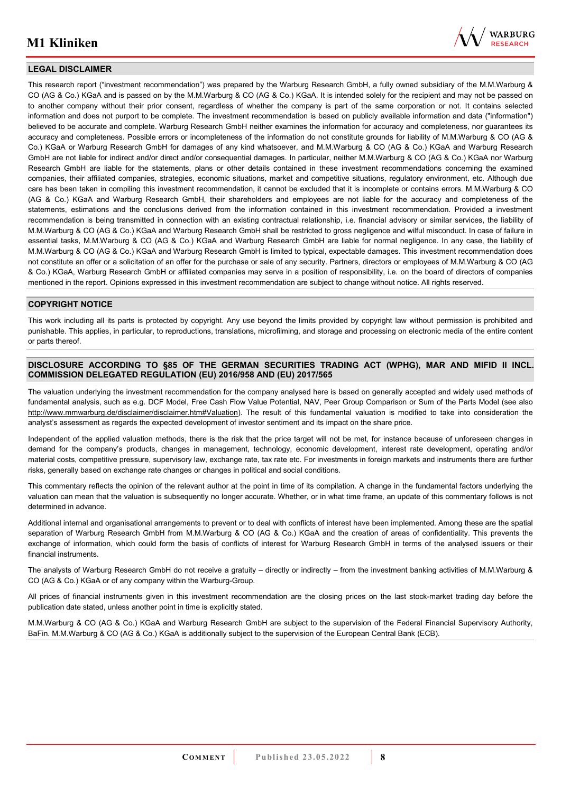

#### **LEGAL DISCLAIMER**

This research report ("investment recommendation") was prepared by the Warburg Research GmbH, a fully owned subsidiary of the M.M.Warburg & CO (AG & Co.) KGaA and is passed on by the M.M.Warburg & CO (AG & Co.) KGaA. It is intended solely for the recipient and may not be passed on to another company without their prior consent, regardless of whether the company is part of the same corporation or not. It contains selected information and does not purport to be complete. The investment recommendation is based on publicly available information and data ("information") believed to be accurate and complete. Warburg Research GmbH neither examines the information for accuracy and completeness, nor guarantees its accuracy and completeness. Possible errors or incompleteness of the information do not constitute grounds for liability of M.M.Warburg & CO (AG & Co.) KGaA or Warburg Research GmbH for damages of any kind whatsoever, and M.M.Warburg & CO (AG & Co.) KGaA and Warburg Research GmbH are not liable for indirect and/or direct and/or consequential damages. In particular, neither M.M.Warburg & CO (AG & Co.) KGaA nor Warburg Research GmbH are liable for the statements, plans or other details contained in these investment recommendations concerning the examined companies, their affiliated companies, strategies, economic situations, market and competitive situations, regulatory environment, etc. Although due care has been taken in compiling this investment recommendation, it cannot be excluded that it is incomplete or contains errors. M.M.Warburg & CO (AG & Co.) KGaA and Warburg Research GmbH, their shareholders and employees are not liable for the accuracy and completeness of the statements, estimations and the conclusions derived from the information contained in this investment recommendation. Provided a investment recommendation is being transmitted in connection with an existing contractual relationship, i.e. financial advisory or similar services, the liability of M.M.Warburg & CO (AG & Co.) KGaA and Warburg Research GmbH shall be restricted to gross negligence and wilful misconduct. In case of failure in essential tasks, M.M.Warburg & CO (AG & Co.) KGaA and Warburg Research GmbH are liable for normal negligence. In any case, the liability of M.M.Warburg & CO (AG & Co.) KGaA and Warburg Research GmbH is limited to typical, expectable damages. This investment recommendation does not constitute an offer or a solicitation of an offer for the purchase or sale of any security. Partners, directors or employees of M.M.Warburg & CO (AG & Co.) KGaA, Warburg Research GmbH or affiliated companies may serve in a position of responsibility, i.e. on the board of directors of companies mentioned in the report. Opinions expressed in this investment recommendation are subject to change without notice. All rights reserved.

#### **COPYRIGHT NOTICE**

This work including all its parts is protected by copyright. Any use beyond the limits provided by copyright law without permission is prohibited and punishable. This applies, in particular, to reproductions, translations, microfilming, and storage and processing on electronic media of the entire content or parts thereof.

#### **DISCLOSURE ACCORDING TO §85 OF THE GERMAN SECURITIES TRADING ACT (WPHG), MAR AND MIFID II INCL. COMMISSION DELEGATED REGULATION (EU) 2016/958 AND (EU) 2017/565**

The valuation underlying the investment recommendation for the company analysed here is based on generally accepted and widely used methods of fundamental analysis, such as e.g. DCF Model, Free Cash Flow Value Potential, NAV, Peer Group Comparison or Sum of the Parts Model (see also [http://www.mmwarburg.de/disclaimer/disclaimer.htm#Valuation\)](http://www.mmwarburg.de/disclaimer/disclaimer.htm#Valuation). The result of this fundamental valuation is modified to take into consideration the analyst's assessment as regards the expected development of investor sentiment and its impact on the share price.

Independent of the applied valuation methods, there is the risk that the price target will not be met, for instance because of unforeseen changes in demand for the company's products, changes in management, technology, economic development, interest rate development, operating and/or material costs, competitive pressure, supervisory law, exchange rate, tax rate etc. For investments in foreign markets and instruments there are further risks, generally based on exchange rate changes or changes in political and social conditions.

This commentary reflects the opinion of the relevant author at the point in time of its compilation. A change in the fundamental factors underlying the valuation can mean that the valuation is subsequently no longer accurate. Whether, or in what time frame, an update of this commentary follows is not determined in advance.

Additional internal and organisational arrangements to prevent or to deal with conflicts of interest have been implemented. Among these are the spatial separation of Warburg Research GmbH from M.M.Warburg & CO (AG & Co.) KGaA and the creation of areas of confidentiality. This prevents the exchange of information, which could form the basis of conflicts of interest for Warburg Research GmbH in terms of the analysed issuers or their financial instruments.

The analysts of Warburg Research GmbH do not receive a gratuity – directly or indirectly – from the investment banking activities of M.M.Warburg & CO (AG & Co.) KGaA or of any company within the Warburg-Group.

All prices of financial instruments given in this investment recommendation are the closing prices on the last stock-market trading day before the publication date stated, unless another point in time is explicitly stated.

M.M.Warburg & CO (AG & Co.) KGaA and Warburg Research GmbH are subject to the supervision of the Federal Financial Supervisory Authority, BaFin. M.M.Warburg & CO (AG & Co.) KGaA is additionally subject to the supervision of the European Central Bank (ECB).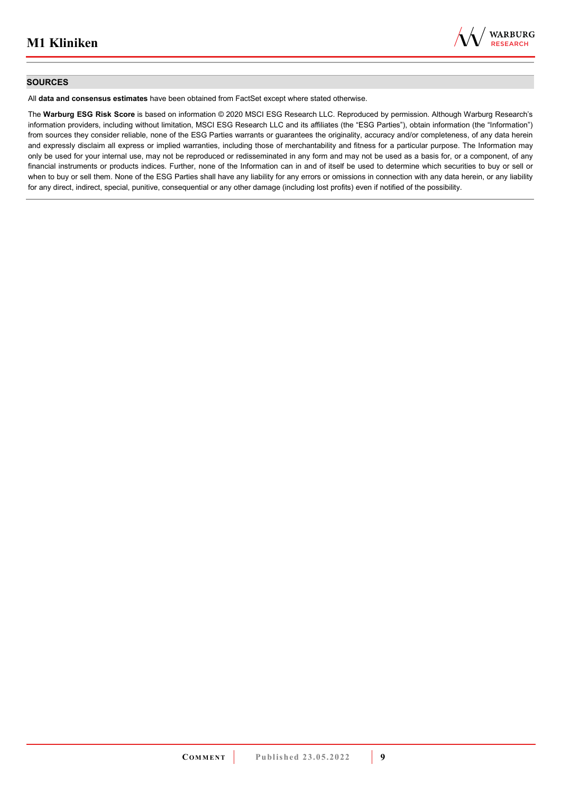

#### **SOURCES**

All **data and consensus estimates** have been obtained from FactSet except where stated otherwise.

The **Warburg ESG Risk Score** is based on information © 2020 MSCI ESG Research LLC. Reproduced by permission. Although Warburg Research's information providers, including without limitation, MSCI ESG Research LLC and its affiliates (the "ESG Parties"), obtain information (the "Information") from sources they consider reliable, none of the ESG Parties warrants or guarantees the originality, accuracy and/or completeness, of any data herein and expressly disclaim all express or implied warranties, including those of merchantability and fitness for a particular purpose. The Information may only be used for your internal use, may not be reproduced or redisseminated in any form and may not be used as a basis for, or a component, of any financial instruments or products indices. Further, none of the Information can in and of itself be used to determine which securities to buy or sell or when to buy or sell them. None of the ESG Parties shall have any liability for any errors or omissions in connection with any data herein, or any liability for any direct, indirect, special, punitive, consequential or any other damage (including lost profits) even if notified of the possibility.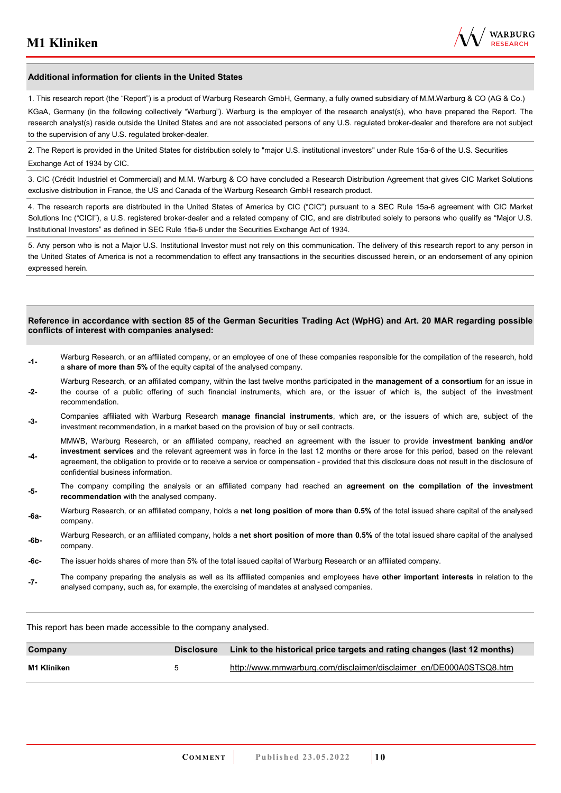

#### **Additional information for clients in the United States**

1. This research report (the "Report") is a product of Warburg Research GmbH, Germany, a fully owned subsidiary of M.M.Warburg & CO (AG & Co.)

KGaA, Germany (in the following collectively "Warburg"). Warburg is the employer of the research analyst(s), who have prepared the Report. The research analyst(s) reside outside the United States and are not associated persons of any U.S. regulated broker-dealer and therefore are not subject to the supervision of any U.S. regulated broker-dealer.

2. The Report is provided in the United States for distribution solely to "major U.S. institutional investors" under Rule 15a-6 of the U.S. Securities Exchange Act of 1934 by CIC.

3. CIC (Crédit Industriel et Commercial) and M.M. Warburg & CO have concluded a Research Distribution Agreement that gives CIC Market Solutions exclusive distribution in France, the US and Canada of the Warburg Research GmbH research product.

4. The research reports are distributed in the United States of America by CIC ("CIC") pursuant to a SEC Rule 15a-6 agreement with CIC Market Solutions Inc ("CICI"), a U.S. registered broker-dealer and a related company of CIC, and are distributed solely to persons who qualify as "Major U.S. Institutional Investors" as defined in SEC Rule 15a-6 under the Securities Exchange Act of 1934.

5. Any person who is not a Major U.S. Institutional Investor must not rely on this communication. The delivery of this research report to any person in the United States of America is not a recommendation to effect any transactions in the securities discussed herein, or an endorsement of any opinion expressed herein.

#### **Reference in accordance with section 85 of the German Securities Trading Act (WpHG) and Art. 20 MAR regarding possible conflicts of interest with companies analysed:**

- **-1-** Warburg Research, or an affiliated company, or an employee of one of these companies responsible for the compilation of the research, hold a **share of more than 5%** of the equity capital of the analysed company.
- **-2-**  Warburg Research, or an affiliated company, within the last twelve months participated in the **management of a consortium** for an issue in the course of a public offering of such financial instruments, which are, or the issuer of which is, the subject of the investment recommendation.
- **-3-** Companies affiliated with Warburg Research **manage financial instruments**, which are, or the issuers of which are, subject of the investment recommendation, in a market based on the provision of buy or sell contracts.

MMWB, Warburg Research, or an affiliated company, reached an agreement with the issuer to provide **investment banking and/or investment services** and the relevant agreement was in force in the last 12 months or there arose for this period, based on the relevant

- **-4**  agreement, the obligation to provide or to receive a service or compensation - provided that this disclosure does not result in the disclosure of confidential business information.
- **-5-** The company compiling the analysis or an affiliated company had reached an **agreement on the compilation of the investment recommendation** with the analysed company.
- **-6a-** Warburg Research, or an affiliated company, holds a **net long position of more than 0.5%** of the total issued share capital of the analysed company.
- **-6b-** Warburg Research, or an affiliated company, holds a **net short position of more than 0.5%** of the total issued share capital of the analysed company.
- **-6c-** The issuer holds shares of more than 5% of the total issued capital of Warburg Research or an affiliated company.
- **-7-** The company preparing the analysis as well as its affiliated companies and employees have **other important interests** in relation to the analysed company, such as, for example, the exercising of mandates at analysed companies.

This report has been made accessible to the company analysed.

| Company     | Disclosure Link to the historical price targets and rating changes (last 12 months) |
|-------------|-------------------------------------------------------------------------------------|
| M1 Kliniken | http://www.mmwarburg.com/disclaimer/disclaimer_en/DE000A0STSQ8.htm                  |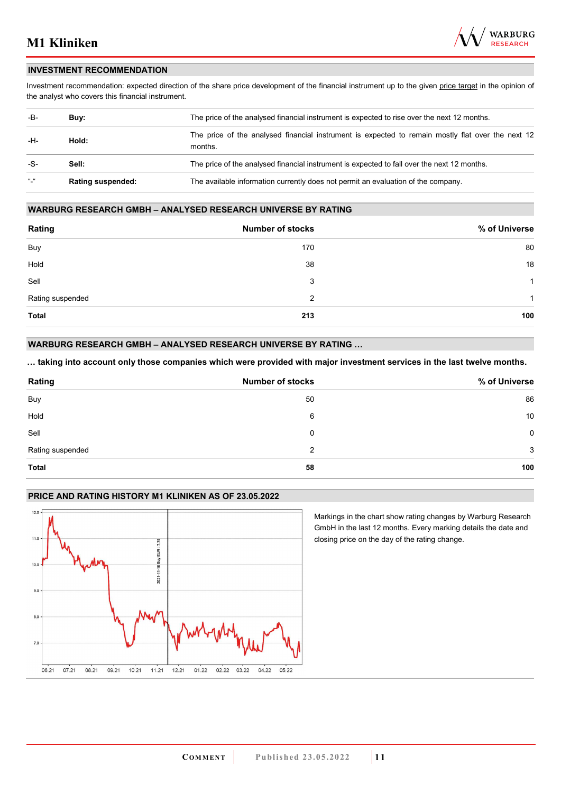

#### **INVESTMENT RECOMMENDATION**

Investment recommendation: expected direction of the share price development of the financial instrument up to the given price target in the opinion of the analyst who covers this financial instrument.

| -B-           | Buy:                     | The price of the analysed financial instrument is expected to rise over the next 12 months.                  |
|---------------|--------------------------|--------------------------------------------------------------------------------------------------------------|
| -H-           | Hold:                    | The price of the analysed financial instrument is expected to remain mostly flat over the next 12<br>months. |
| -S-           | Sell:                    | The price of the analysed financial instrument is expected to fall over the next 12 months.                  |
| $\frac{1}{2}$ | <b>Rating suspended:</b> | The available information currently does not permit an evaluation of the company.                            |

#### **WARBURG RESEARCH GMBH – ANALYSED RESEARCH UNIVERSE BY RATING**

| Rating           | <b>Number of stocks</b> | % of Universe |
|------------------|-------------------------|---------------|
| Buy              | 170                     | 80            |
| Hold             | 38                      | 18            |
| Sell             | 3                       | 1             |
| Rating suspended | 2                       | 1             |
| <b>Total</b>     | 213                     | 100           |

#### **WARBURG RESEARCH GMBH – ANALYSED RESEARCH UNIVERSE BY RATING …**

**… taking into account only those companies which were provided with major investment services in the last twelve months.** 

| Rating           | <b>Number of stocks</b> | % of Universe |
|------------------|-------------------------|---------------|
| Buy              | 50                      | 86            |
| Hold             | 6                       | 10            |
| Sell             | 0                       | $\mathbf 0$   |
| Rating suspended | 2                       | 3             |
| Total            | 58                      | 100           |

#### **PRICE AND RATING HISTORY M1 KLINIKEN AS OF 23.05.2022**



Markings in the chart show rating changes by Warburg Research GmbH in the last 12 months. Every marking details the date and closing price on the day of the rating change.